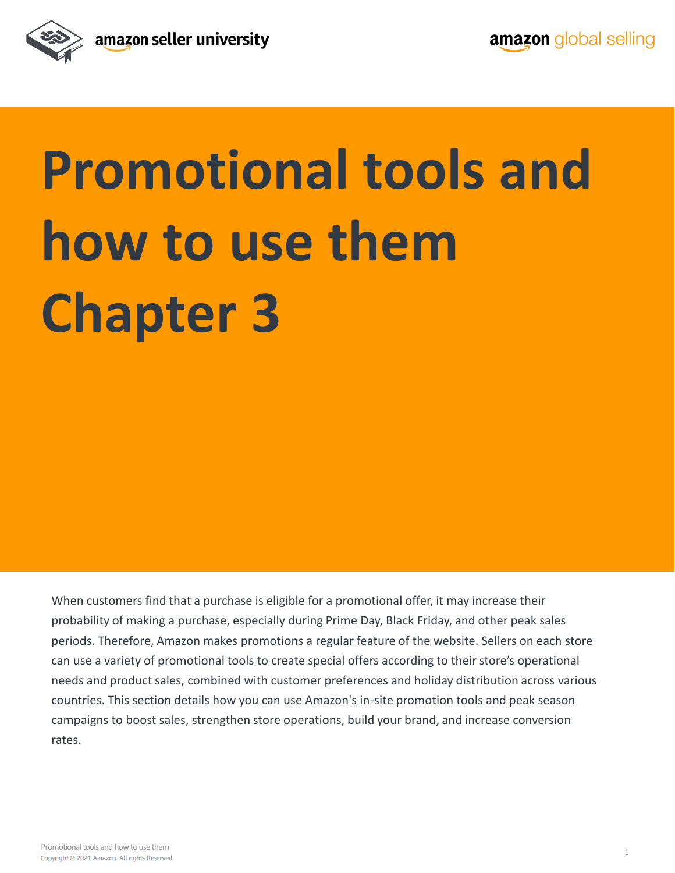

# **Promotional tools and how to use them Chapter 3**

When customers find that a purchase is eligible for a promotional offer, it may increase their probability of making a purchase, especially during Prime Day, Black Friday, and other peak sales periods. Therefore, Amazon makes promotions a regular feature of the website. Sellers on each store can use a variety of promotional tools to create special offers according to their store's operational needs and product sales, combined with customer preferences and holiday distribution across various countries. This section details how you can use Amazon's in-site promotion tools and peak season campaigns to boost sales, strengthen store operations, build your brand, and increase conversion rates.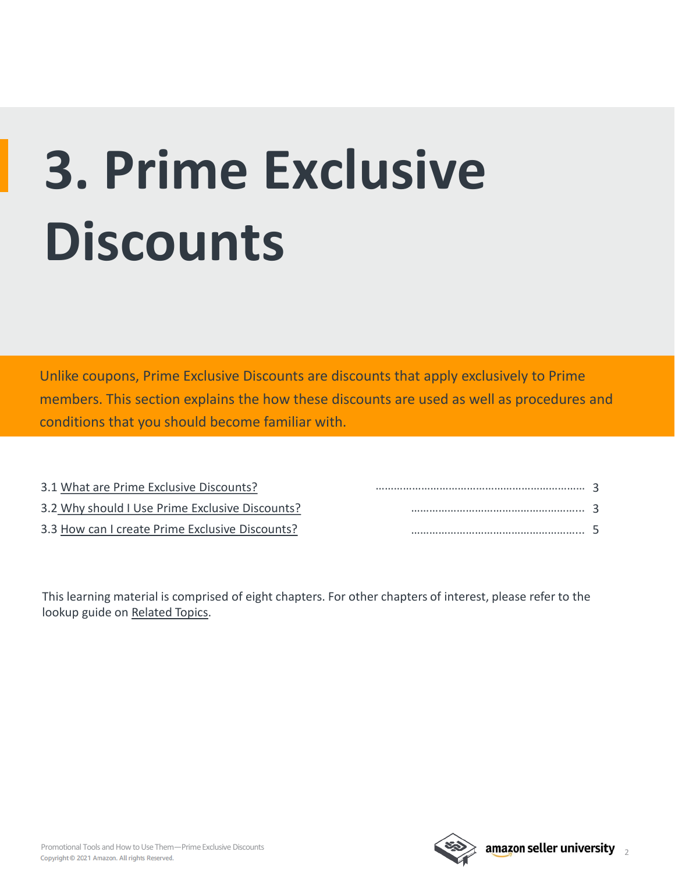# **3. Prime Exclusive Discounts**

Unlike coupons, Prime Exclusive Discounts are discounts that apply exclusively to Prime members. This section explains the how these discounts are used as well as procedures and conditions that you should become familiar with.

| 3.1 What are Prime Exclusive Discounts?         |  |
|-------------------------------------------------|--|
| 3.2 Why should I Use Prime Exclusive Discounts? |  |
| 3.3 How can I create Prime Exclusive Discounts? |  |

This learning material is comprised of eight chapters. For other chapters of interest, please refer to the lookup guide on [Related Topics.](#page-9-0)

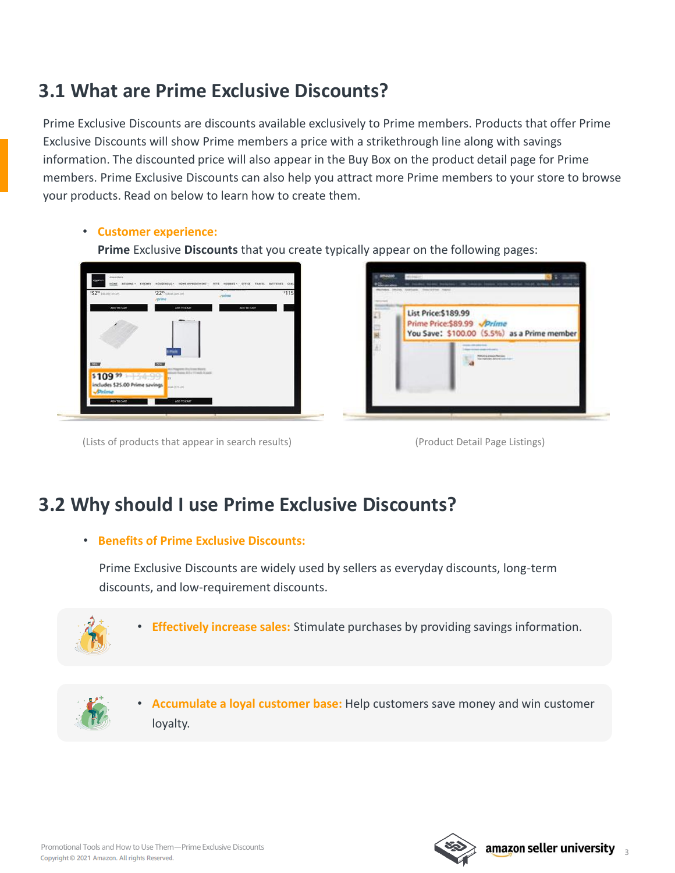### <span id="page-2-0"></span>**3.1 What are Prime Exclusive Discounts?**

Prime Exclusive Discounts are discounts available exclusively to Prime members. Products that offer Prime Exclusive Discounts will show Prime members a price with a strikethrough line along with savings information. The discounted price will also appear in the Buy Box on the product detail page for Prime members. Prime Exclusive Discounts can also help you attract more Prime members to your store to browse your products. Read on below to learn how to create them.

#### • **Customer experience:**

**Prime** Exclusive **Discounts** that you create typically appear on the following pages:



(Lists of products that appear in search results) (Product Detail Page Listings)



### **3.2 Why should I use Prime Exclusive Discounts?**

#### • **Benefits of Prime Exclusive Discounts:**

Prime Exclusive Discounts are widely used by sellers as everyday discounts, long-term discounts, and low-requirement discounts.



• **Effectively increase sales:** Stimulate purchases by providing savings information.



• **Accumulate a loyal customer base:** Help customers save money and win customer loyalty.

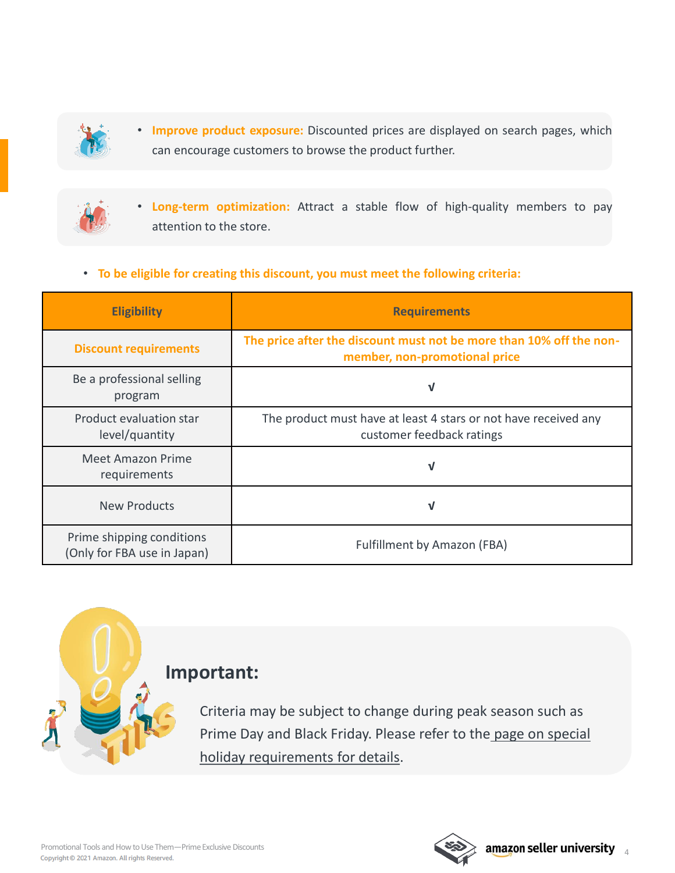

• **Improve product exposure:** Discounted prices are displayed on search pages, which can encourage customers to browse the product further.



• **Long-term optimization:** Attract a stable flow of high-quality members to pay attention to the store.

#### • **To be eligible for creating this discount, you must meet the following criteria:**

| <b>Eligibility</b>                                       | <b>Requirements</b>                                                                                  |  |
|----------------------------------------------------------|------------------------------------------------------------------------------------------------------|--|
| <b>Discount requirements</b>                             | The price after the discount must not be more than 10% off the non-<br>member, non-promotional price |  |
| Be a professional selling<br>program                     | V                                                                                                    |  |
| Product evaluation star<br>level/quantity                | The product must have at least 4 stars or not have received any<br>customer feedback ratings         |  |
| Meet Amazon Prime<br>requirements                        | V                                                                                                    |  |
| <b>New Products</b>                                      | N                                                                                                    |  |
| Prime shipping conditions<br>(Only for FBA use in Japan) | <b>Fulfillment by Amazon (FBA)</b>                                                                   |  |



Criteria may be subject to change during peak season such as [Prime Day and Black Friday. Please refer to the](https://sellercentral.amazon.co.uk/help/hub/reference/LREB2WH9JA7R63D?ref=su_LREB2WH9JA7R63D_cont_ZG6D3FZA9VSP4XH&ref_=xx_swlang_foot_xx&mons_sel_locale=en_GB&languageSwitched=1) [page on special](https://sellercentral.amazon.co.uk/gp/help/help.html?itemID=LREB2WH9JA7R63D&language=zh_CN&ref=su_LREB2WH9JA7R63D_cont_ZG6D3FZA9VSP4XH)  holiday requirements for details.

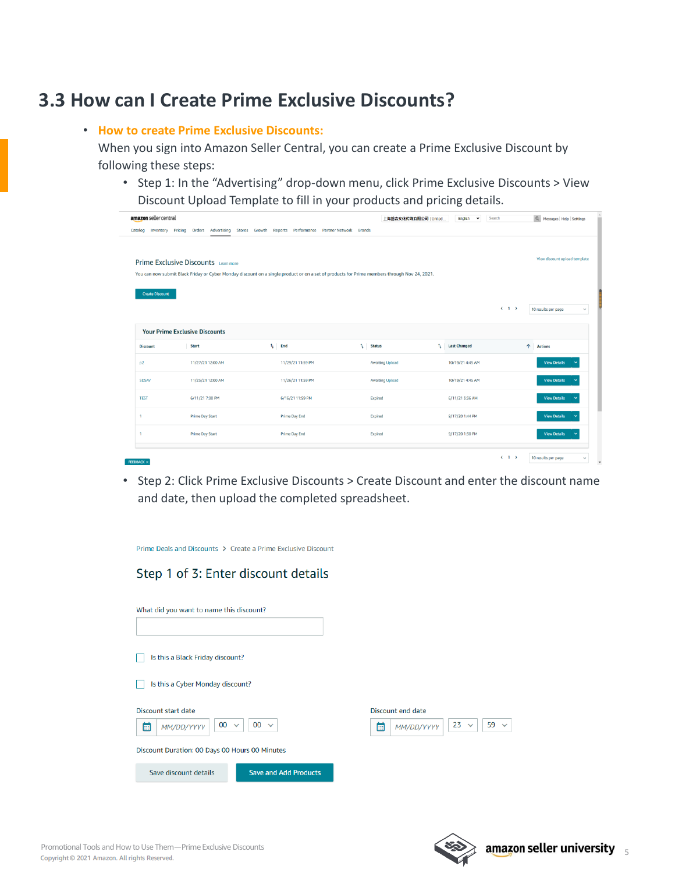### <span id="page-4-0"></span>**3.3 How can I Create Prime Exclusive Discounts?**

#### • **How to create Prime Exclusive Discounts:**

When you sign into Amazon Seller Central, you can create a Prime Exclusive Discount by following these steps:

• Step 1: In the "Advertising" drop-down menu, click Prime Exclusive Discounts > View Discount Upload Template to fill in your products and pricing details.

| amazon seller central                 |                                                                                                                                              |                       |  | 上海磐森文化传媒有限公司   United        | English<br>$\checkmark$   | Search | Q Messages   Help   Settings  |
|---------------------------------------|----------------------------------------------------------------------------------------------------------------------------------------------|-----------------------|--|------------------------------|---------------------------|--------|-------------------------------|
| Catalog<br><b>Inventory Pricing</b>   | Orders Advertising Stores Growth Reports Performance Partner-Network Brands                                                                  |                       |  |                              |                           |        |                               |
|                                       |                                                                                                                                              |                       |  |                              |                           |        |                               |
|                                       | Prime Exclusive Discounts Learn more                                                                                                         |                       |  |                              |                           |        | View discount upload template |
|                                       | You can now submit Black Friday or Cyber Monday discount on a single product or on a set of products for Prime members through Nov 24, 2021. |                       |  |                              |                           |        |                               |
|                                       |                                                                                                                                              |                       |  |                              |                           |        |                               |
| <b>Create Discount</b>                |                                                                                                                                              |                       |  |                              |                           |        |                               |
|                                       |                                                                                                                                              |                       |  |                              |                           | (1)    | 10 results per page<br>v      |
| <b>Your Prime Exclusive Discounts</b> |                                                                                                                                              |                       |  |                              |                           |        |                               |
|                                       |                                                                                                                                              |                       |  |                              |                           |        |                               |
| <b>Discount</b>                       | Start                                                                                                                                        | $\mathbf{t}_1$<br>End |  | $t_{\rm L}$<br><b>Status</b> | т,<br><b>Last Changed</b> |        | 个<br><b>Actions</b>           |
| p <sub>2</sub>                        | 11/27/21 12:00 AM                                                                                                                            | 11/29/21 11:59 PM     |  | Awaiting Upload              | 10/19/21 4:45 AM          |        | <b>View Details</b>           |
| <b>SDSAV</b>                          | 11/25/21 12:00 AM                                                                                                                            | 11/26/21 11:59 PM     |  | <b>Awaiting Upload</b>       | 10/19/21 4:45 AM          |        | <b>View Details</b>           |
| <b>TEST</b>                           | 6/11/21 7:00 PM                                                                                                                              | 6/16/21 11:59 PM      |  | Expired                      | 6/11/21 3:36 AM           |        | <b>View Details</b>           |
| 1                                     | <b>Prime Day Start</b>                                                                                                                       | Prime Day End         |  | Expired                      | 9/17/20 1:44 PM           |        | <b>View Details</b>           |
| $\overline{1}$                        | <b>Prime Day Start</b>                                                                                                                       | Prime Day End         |  | Expired                      | 9/17/20 1:30 PM           |        | <b>View Details</b>           |

• Step 2: Click Prime Exclusive Discounts > Create Discount and enter the discount name and date, then upload the completed spreadsheet.

| Prime Deals and Discounts > Create a Prime Exclusive Discount |                                |           |
|---------------------------------------------------------------|--------------------------------|-----------|
| Step 1 of 3: Enter discount details                           |                                |           |
|                                                               |                                |           |
| What did you want to name this discount?                      |                                |           |
|                                                               |                                |           |
| Is this a Black Friday discount?                              |                                |           |
| Is this a Cyber Monday discount?                              |                                |           |
| Discount start date                                           | Discount end date              |           |
| $00 \sim$<br>$00 \sim$<br>臝<br>MM/DD/YYYY                     | $23 \times$<br>臝<br>MM/DD/YYYY | $59 \sim$ |
| Discount Duration: 00 Days 00 Hours 00 Minutes                |                                |           |
| <b>Save and Add Products</b><br>Save discount details         |                                |           |

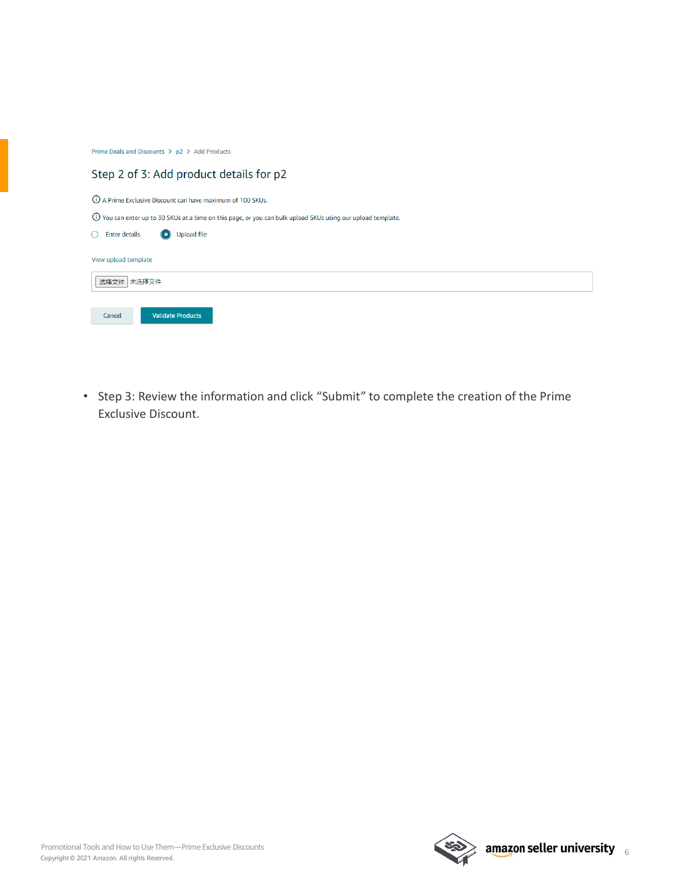Prime Deals and Discounts > p2 > Add Products

| Step 2 of 3: Add product details for p2                                                                        |
|----------------------------------------------------------------------------------------------------------------|
| (i) A Prime Exclusive Discount can have maximum of 100 SKUs.                                                   |
| (i) You can enter up to 30 SKUs at a time on this page, or you can bulk upload SKUs using our upload template. |
| <b>Upload file</b><br><b>Enter details</b>                                                                     |
| View upload template                                                                                           |
| 选择文件 未选择文件                                                                                                     |
| <b>Validate Products</b><br>Cancel                                                                             |

• Step 3: Review the information and click "Submit" to complete the creation of the Prime Exclusive Discount.

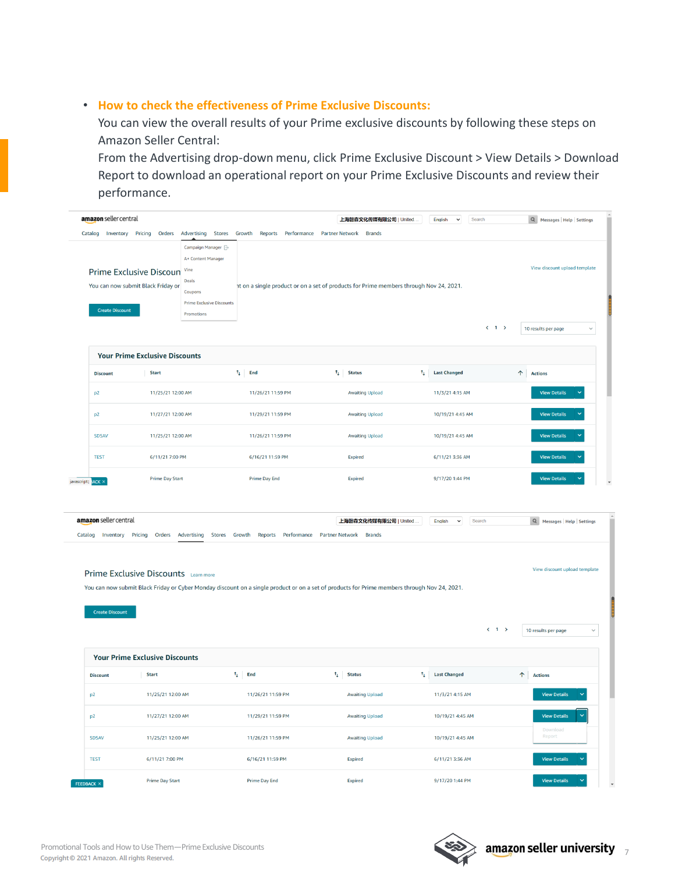#### • **How to check the effectiveness of Prime Exclusive Discounts:**

You can view the overall results of your Prime exclusive discounts by following these steps on Amazon Seller Central:

From the Advertising drop-down menu, click Prime Exclusive Discount > View Details > Download Report to download an operational report on your Prime Exclusive Discounts and review their performance.

| amazon seller central                                                                                                                                                                                                                                                                                                                                                                                                        |                                                                      |                                                                                                                                          |                                                                                                       | 上海磐森文化传媒有限公司   United.                                                                 |                             | English<br>$\check{}$<br>Search  |                     | Q Messages Help Settings                                             |
|------------------------------------------------------------------------------------------------------------------------------------------------------------------------------------------------------------------------------------------------------------------------------------------------------------------------------------------------------------------------------------------------------------------------------|----------------------------------------------------------------------|------------------------------------------------------------------------------------------------------------------------------------------|-------------------------------------------------------------------------------------------------------|----------------------------------------------------------------------------------------|-----------------------------|----------------------------------|---------------------|----------------------------------------------------------------------|
| <b>Create Discount</b>                                                                                                                                                                                                                                                                                                                                                                                                       | <b>Prime Exclusive Discoun</b><br>You can now submit Black Friday or | Campaign Manager <sup>2</sup><br>A+ Content Manager<br>Vine<br><b>Deals</b><br>Coupons<br><b>Prime Exclusive Discounts</b><br>Promotions | Catalog Inventory Pricing Orders Advertising Stores Growth Reports Performance Partner-Network Brands | at on a single product or on a set of products for Prime members through Nov 24, 2021. |                             |                                  | $\langle 1 \rangle$ | View discount upload template<br>10 results per page<br>$\checkmark$ |
|                                                                                                                                                                                                                                                                                                                                                                                                                              | <b>Your Prime Exclusive Discounts</b>                                |                                                                                                                                          |                                                                                                       |                                                                                        |                             |                                  |                     |                                                                      |
| <b>Discount</b>                                                                                                                                                                                                                                                                                                                                                                                                              | <b>Start</b>                                                         |                                                                                                                                          | $\uparrow$ End                                                                                        | $\uparrow$ Status                                                                      | ti.                         | <b>Last Changed</b>              | $\uparrow$          | <b>Actions</b>                                                       |
| p2                                                                                                                                                                                                                                                                                                                                                                                                                           | 11/25/21 12:00 AM                                                    |                                                                                                                                          | 11/26/21 11:59 PM                                                                                     | <b>Awaiting Upload</b>                                                                 |                             | 11/3/21 4:15 AM                  |                     | <b>View Details</b>                                                  |
| p <sub>2</sub>                                                                                                                                                                                                                                                                                                                                                                                                               | 11/27/21 12:00 AM                                                    |                                                                                                                                          | 11/29/21 11:59 PM                                                                                     | <b>Awaiting Upload</b>                                                                 |                             | 10/19/21 4:45 AM                 |                     | <b>View Details</b>                                                  |
| <b>SDSAV</b>                                                                                                                                                                                                                                                                                                                                                                                                                 | 11/25/21 12:00 AM                                                    |                                                                                                                                          | 11/26/21 11:59 PM                                                                                     | <b>Awaiting Upload</b>                                                                 |                             | 10/19/21 4:45 AM                 |                     | <b>View Details</b>                                                  |
| <b>TEST</b>                                                                                                                                                                                                                                                                                                                                                                                                                  | 6/11/21 7:00 PM                                                      |                                                                                                                                          | 6/16/21 11:59 PM                                                                                      | Expired                                                                                |                             | 6/11/21 3:36 AM                  |                     | <b>View Details</b>                                                  |
| javascript:; ACK X<br>amazon seller central                                                                                                                                                                                                                                                                                                                                                                                  |                                                                      |                                                                                                                                          |                                                                                                       | 上海磐森文化传媒有限公司   United.                                                                 |                             | English<br>$\check{ }$<br>Search |                     | Q Messages   Help   Settings                                         |
| Catalog Inventory Pricing Orders Advertising<br>Stores Growth Reports Performance<br>Partner Network Brands<br>View discount upload template<br>Prime Exclusive Discounts Learn more<br>You can now submit Black Friday or Cyber Monday discount on a single product or on a set of products for Prime members through Nov 24, 2021.<br><b>Create Discount</b><br>$\langle 1 \rangle$<br>10 results per page<br>$\checkmark$ |                                                                      |                                                                                                                                          |                                                                                                       |                                                                                        |                             |                                  |                     |                                                                      |
|                                                                                                                                                                                                                                                                                                                                                                                                                              |                                                                      |                                                                                                                                          |                                                                                                       |                                                                                        |                             |                                  |                     |                                                                      |
|                                                                                                                                                                                                                                                                                                                                                                                                                              | <b>Your Prime Exclusive Discounts</b>                                |                                                                                                                                          |                                                                                                       |                                                                                        |                             |                                  |                     |                                                                      |
| <b>Discount</b>                                                                                                                                                                                                                                                                                                                                                                                                              | <b>Start</b>                                                         |                                                                                                                                          | $\uparrow$ End                                                                                        | $\uparrow$ Status                                                                      | $\mathfrak{r}_\mathfrak{l}$ | <b>Last Changed</b>              |                     | $\uparrow$ Actions                                                   |
| p2                                                                                                                                                                                                                                                                                                                                                                                                                           | 11/25/21 12:00 AM                                                    |                                                                                                                                          | 11/26/21 11:59 PM                                                                                     | <b>Awaiting Upload</b>                                                                 |                             | 11/3/21 4:15 AM                  |                     | <b>View Details</b>                                                  |
| p <sub>2</sub>                                                                                                                                                                                                                                                                                                                                                                                                               | 11/27/21 12:00 AM                                                    |                                                                                                                                          | 11/29/21 11:59 PM                                                                                     | <b>Awaiting Upload</b>                                                                 |                             | 10/19/21 4:45 AM                 |                     | <b>View Details</b>                                                  |
| <b>SDSAV</b>                                                                                                                                                                                                                                                                                                                                                                                                                 | 11/25/21 12:00 AM                                                    |                                                                                                                                          | 11/26/21 11:59 PM                                                                                     | <b>Awaiting Upload</b>                                                                 |                             | 10/19/21 4:45 AM                 |                     | Download<br>Report                                                   |
| <b>TEST</b>                                                                                                                                                                                                                                                                                                                                                                                                                  | 6/11/21 7:00 PM                                                      |                                                                                                                                          | 6/16/21 11:59 PM                                                                                      | Expired                                                                                |                             | 6/11/21 3:36 AM                  |                     | <b>View Details</b>                                                  |

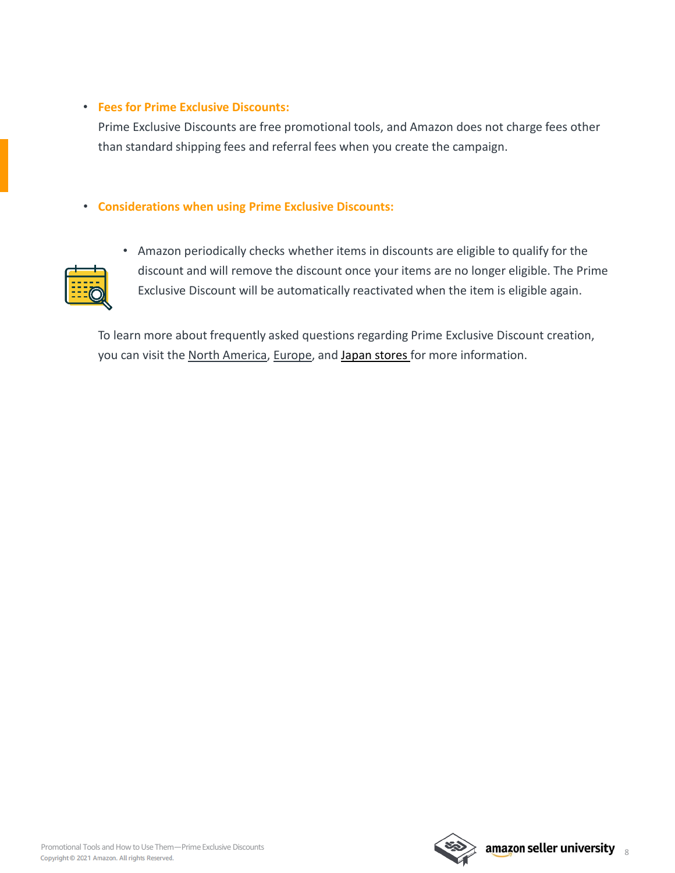#### • **Fees for Prime Exclusive Discounts:**

Prime Exclusive Discounts are free promotional tools, and Amazon does not charge fees other than standard shipping fees and referral fees when you create the campaign.

#### • **Considerations when using Prime Exclusive Discounts:**



• Amazon periodically checks whether items in discounts are eligible to qualify for the discount and will remove the discount once your items are no longer eligible. The Prime Exclusive Discount will be automatically reactivated when the item is eligible again.

To learn more about frequently asked questions regarding Prime Exclusive Discount creation, you can visit the [North America](https://sellercentral.amazon.com/help/hub/reference/PXVNNG52W63SFGK?ref=ag_PXVNNG52W63SFGK_cont_ZG6D3FZA9VSP4XH&ref_=xx_swlang_head_xx&mons_sel_locale=en_US&languageSwitched=1), [Europe,](https://sellercentral.amazon.co.uk/help/hub/reference/GPXVNNG52W63SFGK?ref_=xx_swlang_foot_xx&mons_sel_locale=en_GB&languageSwitched=1) and [Japan stores](https://sellercentral-japan.amazon.com/gp/help/GPXVNNG52W63SFGK?ref_=xx_swlang_foot_xx&mons_sel_locale=en_JP&languageSwitched=1) for more information.

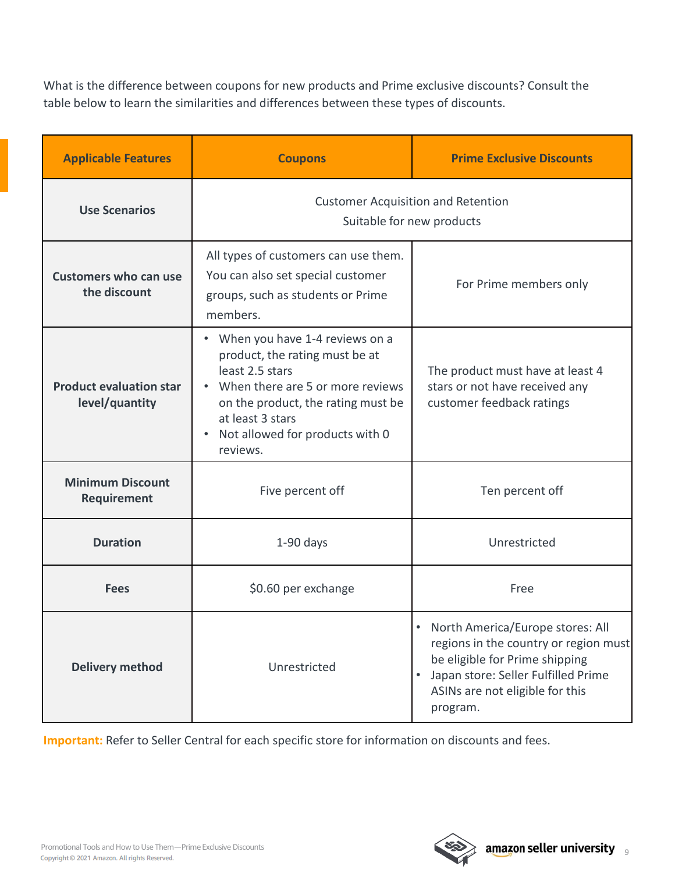What is the difference between coupons for new products and Prime exclusive discounts? Consult the table below to learn the similarities and differences between these types of discounts.

| <b>Applicable Features</b>                       | <b>Coupons</b>                                                                                                                                                                                                                                | <b>Prime Exclusive Discounts</b>                                                                                                                                                                    |  |  |
|--------------------------------------------------|-----------------------------------------------------------------------------------------------------------------------------------------------------------------------------------------------------------------------------------------------|-----------------------------------------------------------------------------------------------------------------------------------------------------------------------------------------------------|--|--|
| <b>Use Scenarios</b>                             | <b>Customer Acquisition and Retention</b><br>Suitable for new products                                                                                                                                                                        |                                                                                                                                                                                                     |  |  |
| <b>Customers who can use</b><br>the discount     | All types of customers can use them.<br>You can also set special customer<br>groups, such as students or Prime<br>members.                                                                                                                    | For Prime members only                                                                                                                                                                              |  |  |
| <b>Product evaluation star</b><br>level/quantity | When you have 1-4 reviews on a<br>$\bullet$<br>product, the rating must be at<br>least 2.5 stars<br>When there are 5 or more reviews<br>on the product, the rating must be<br>at least 3 stars<br>Not allowed for products with 0<br>reviews. | The product must have at least 4<br>stars or not have received any<br>customer feedback ratings                                                                                                     |  |  |
| <b>Minimum Discount</b><br>Requirement           | Five percent off                                                                                                                                                                                                                              | Ten percent off                                                                                                                                                                                     |  |  |
| <b>Duration</b>                                  | $1-90$ days                                                                                                                                                                                                                                   | Unrestricted                                                                                                                                                                                        |  |  |
| \$0.60 per exchange<br><b>Fees</b>               |                                                                                                                                                                                                                                               | Free                                                                                                                                                                                                |  |  |
| <b>Delivery method</b>                           | Unrestricted                                                                                                                                                                                                                                  | • North America/Europe stores: All<br>regions in the country or region must<br>be eligible for Prime shipping<br>Japan store: Seller Fulfilled Prime<br>ASINs are not eligible for this<br>program. |  |  |

**Important:** Refer to Seller Central for each specific store for information on discounts and fees.

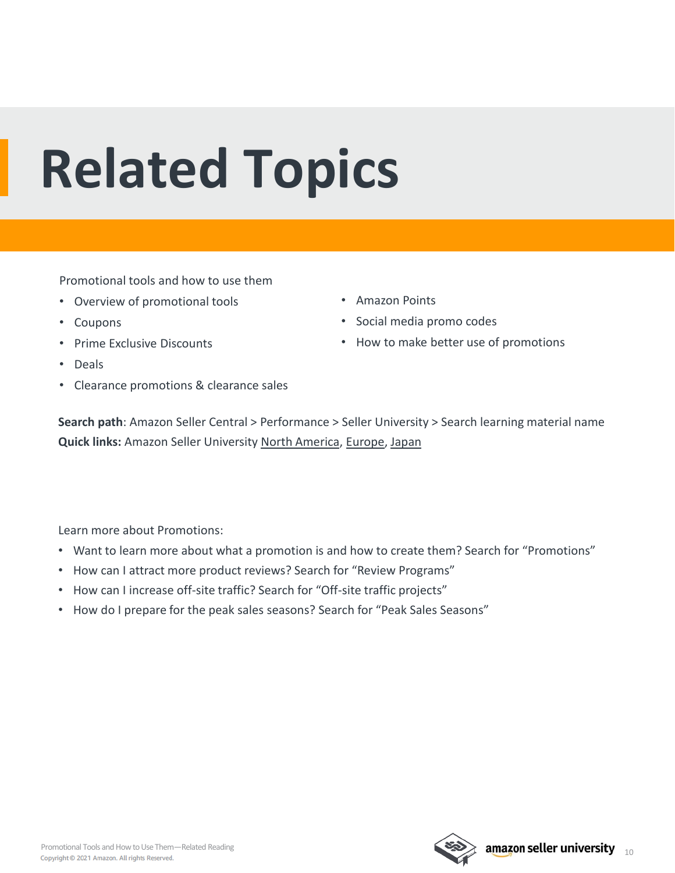## <span id="page-9-0"></span>**Related Topics**

Promotional tools and how to use them

- Overview of promotional tools
- Coupons
- Prime Exclusive Discounts
- Deals
- Clearance promotions & clearance sales
- Amazon Points
- Social media promo codes
- How to make better use of promotions

**Search path**: Amazon Seller Central > Performance > Seller University > Search learning material name **Quick links:** Amazon Seller University [North America](https://sellercentral.amazon.com/learn/ref=xx_su_dnav_xx?ref_=xx_swlang_head_xx&mons_sel_locale=zh_CN&languageSwitched=1), [Europe,](https://sellercentral.amazon.co.uk/learn/ref=xx_su_dnav_xx?ref_=xx_swlang_head_xx&mons_sel_locale=zh_CN&languageSwitched=1) [Japan](https://sellercentral-japan.amazon.com/learn/ref=xx_su_dnav_xx) 

Learn more about Promotions:

- Want to learn more about what a promotion is and how to create them? Search for "Promotions"
- How can I attract more product reviews? Search for "Review Programs"
- How can I increase off-site traffic? Search for "Off-site traffic projects"
- How do I prepare for the peak sales seasons? Search for "Peak Sales Seasons"

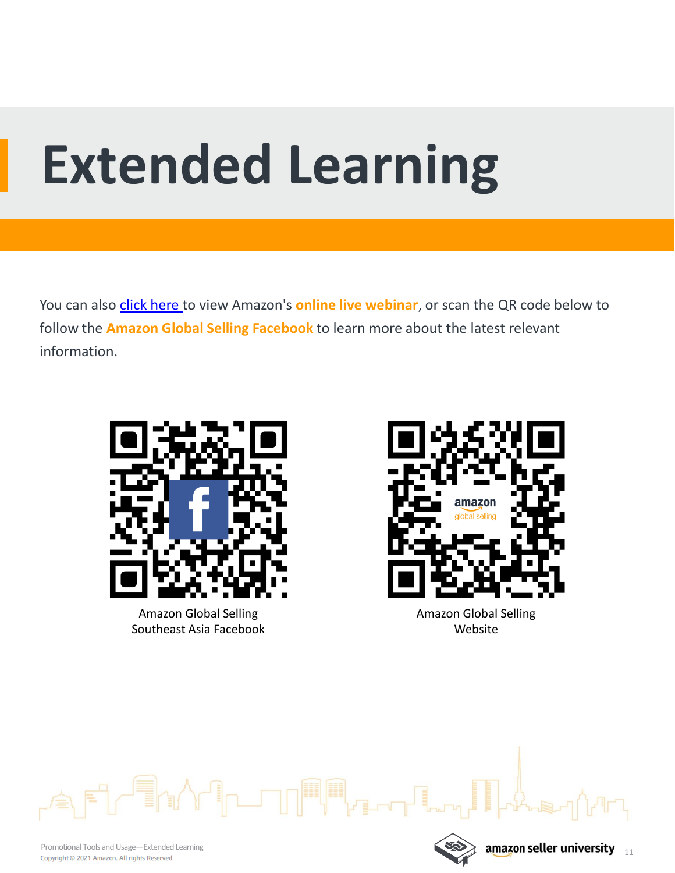## **Extended Learning**

You can also [click here](https://sell.amazon.com.sg/learn/live-webinars?ref_=sdsg_soa_lw_n) to view Amazon's **online live webinar**, or scan the QR code below to follow the **Amazon Global Selling Facebook** to learn more about the latest relevant information.

▌<sub>ᡗ</sub>▃▁▁▁▁▏▕▓▌▓▓<sub>▛</sub>▜▃▃▃▖



Amazon Global Selling Southeast Asia Facebook



Website